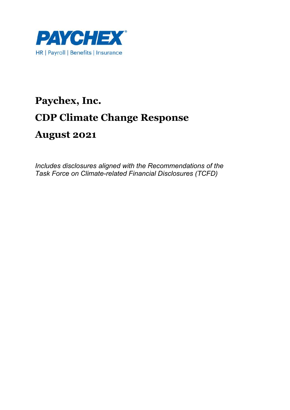

# **Paychex, Inc. CDP Climate Change Response August 2021**

*Includes disclosures aligned with the Recommendations of the Task Force on Climate-related Financial Disclosures (TCFD)*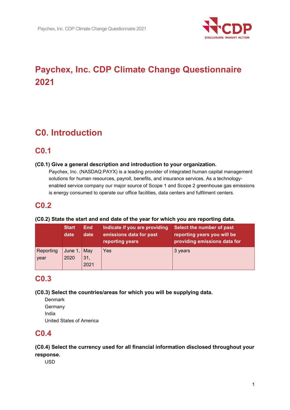

# **Paychex, Inc. CDP Climate Change Questionnaire 2021**

# **C0. Introduction**

## **C0.1**

## **(C0.1) Give a general description and introduction to your organization.**

Paychex, Inc. (NASDAQ:PAYX) is a leading provider of integrated human capital management solutions for human resources, payroll, benefits, and insurance services. As a technologyenabled service company our major source of Scope 1 and Scope 2 greenhouse gas emissions is energy consumed to operate our office facilities, data centers and fulfilment centers.

## **C0.2**

### **(C0.2) State the start and end date of the year for which you are reporting data.**

|                   | <b>Start</b><br>date        | <b>End</b><br>date | Indicate if you are providing<br>emissions data for past<br>reporting years | Select the number of past<br>reporting years you will be<br>providing emissions data for |
|-------------------|-----------------------------|--------------------|-----------------------------------------------------------------------------|------------------------------------------------------------------------------------------|
| Reporting<br>year | June 1, $\vert$ May<br>2020 | 31,<br>2021        | Yes                                                                         | 3 years                                                                                  |

## **C0.3**

**(C0.3) Select the countries/areas for which you will be supplying data.** 

**Denmark** Germany India United States of America

## **C0.4**

## **(C0.4) Select the currency used for all financial information disclosed throughout your response.**

USD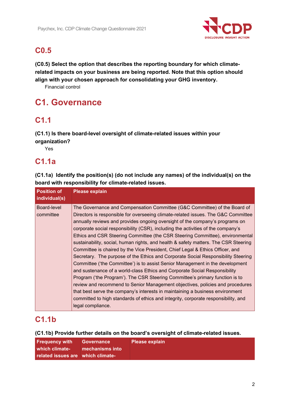

## **C0.5**

**(C0.5) Select the option that describes the reporting boundary for which climaterelated impacts on your business are being reported. Note that this option should align with your chosen approach for consolidating your GHG inventory.** 

Financial control

# **C1. Governance**

## **C1.1**

**(C1.1) Is there board-level oversight of climate-related issues within your organization?** 

Yes

## **C1.1a**

**(C1.1a) Identify the position(s) (do not include any names) of the individual(s) on the board with responsibility for climate-related issues.** 

| <b>Position of</b>                        | <b>Please explain</b>                                                                                                                                                                                                                                                                                                                                                                                                                                                                                                                                                                                                                                                                                                                                             |
|-------------------------------------------|-------------------------------------------------------------------------------------------------------------------------------------------------------------------------------------------------------------------------------------------------------------------------------------------------------------------------------------------------------------------------------------------------------------------------------------------------------------------------------------------------------------------------------------------------------------------------------------------------------------------------------------------------------------------------------------------------------------------------------------------------------------------|
|                                           |                                                                                                                                                                                                                                                                                                                                                                                                                                                                                                                                                                                                                                                                                                                                                                   |
| individual(s)<br>Board-level<br>committee | The Governance and Compensation Committee (G&C Committee) of the Board of<br>Directors is responsible for overseeing climate-related issues. The G&C Committee<br>annually reviews and provides ongoing oversight of the company's programs on<br>corporate social responsibility (CSR), including the activities of the company's<br>Ethics and CSR Steering Committee (the CSR Steering Committee), environmental<br>sustainability, social, human rights, and health & safety matters. The CSR Steering<br>Committee is chaired by the Vice President, Chief Legal & Ethics Officer, and<br>Secretary. The purpose of the Ethics and Corporate Social Responsibility Steering<br>Committee ('the Committee') is to assist Senior Management in the development |
|                                           | and sustenance of a world-class Ethics and Corporate Social Responsibility<br>Program ('the Program'). The CSR Steering Committee's primary function is to<br>review and recommend to Senior Management objectives, policies and procedures<br>that best serve the company's interests in maintaining a business environment<br>committed to high standards of ethics and integrity, corporate responsibility, and<br>legal compliance.                                                                                                                                                                                                                                                                                                                           |

## **C1.1b**

**(C1.1b) Provide further details on the board's oversight of climate-related issues.** 

| <b>Frequency with</b>             | <b>Governance</b> | <b>Please explain</b> |
|-----------------------------------|-------------------|-----------------------|
| which climate-                    | mechanisms into   |                       |
| related issues are which climate- |                   |                       |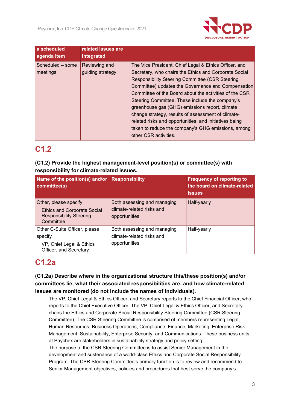

| a scheduled<br>agenda item   | related issues are<br>integrated  |                                                                                                                                                                                                                                                                                                                                                                                                                                                                                                                                                                                              |
|------------------------------|-----------------------------------|----------------------------------------------------------------------------------------------------------------------------------------------------------------------------------------------------------------------------------------------------------------------------------------------------------------------------------------------------------------------------------------------------------------------------------------------------------------------------------------------------------------------------------------------------------------------------------------------|
| Scheduled - some<br>meetings | Reviewing and<br>guiding strategy | The Vice President, Chief Legal & Ethics Officer, and<br>Secretary, who chairs the Ethics and Corporate Social<br><b>Responsibility Steering Committee (CSR Steering</b><br>Committee) updates the Governance and Compensation<br>Committee of the Board about the activities of the CSR<br>Steering Committee. These include the company's<br>greenhouse gas (GHG) emissions report, climate<br>change strategy, results of assessment of climate-<br>related risks and opportunities, and initiatives being<br>taken to reduce the company's GHG emissions, among<br>other CSR activities. |

## **C1.2**

## **(C1.2) Provide the highest management-level position(s) or committee(s) with responsibility for climate-related issues.**

| Name of the position(s) and/or Responsibility<br>committee(s)                                              |                                                                           | <b>Frequency of reporting to</b><br>the board on climate-related<br><b>issues</b> |
|------------------------------------------------------------------------------------------------------------|---------------------------------------------------------------------------|-----------------------------------------------------------------------------------|
| Other, please specify<br><b>Ethics and Corporate Social</b><br><b>Responsibility Steering</b><br>Committee | Both assessing and managing<br>climate-related risks and<br>opportunities | Half-yearly                                                                       |
| Other C-Suite Officer, please<br>specify<br>VP, Chief Legal & Ethics<br>Officer, and Secretary             | Both assessing and managing<br>climate-related risks and<br>opportunities | Half-yearly                                                                       |

## **C1.2a**

**(C1.2a) Describe where in the organizational structure this/these position(s) and/or committees lie, what their associated responsibilities are, and how climate-related issues are monitored (do not include the names of individuals).** 

The VP, Chief Legal & Ethics Officer, and Secretary reports to the Chief Financial Officer, who reports to the Chief Executive Officer. The VP, Chief Legal & Ethics Officer, and Secretary chairs the Ethics and Corporate Social Responsibility Steering Committee (CSR Steering Committee). The CSR Steering Committee is comprised of members representing Legal, Human Resources, Business Operations, Compliance, Finance, Marketing, Enterprise Risk Management, Sustainability, Enterprise Security, and Communications. These business units at Paychex are stakeholders in sustainability strategy and policy setting. The purpose of the CSR Steering Committee is to assist Senior Management in the

development and sustenance of a world-class Ethics and Corporate Social Responsibility Program. The CSR Steering Committee's primary function is to review and recommend to Senior Management objectives, policies and procedures that best serve the company's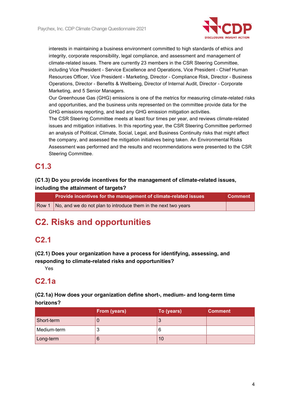

interests in maintaining a business environment committed to high standards of ethics and integrity, corporate responsibility, legal compliance, and assessment and management of climate-related issues. There are currently 23 members in the CSR Steering Committee, including Vice President - Service Excellence and Operations, Vice President - Chief Human Resources Officer, Vice President - Marketing, Director - Compliance Risk, Director - Business Operations, Director - Benefits & Wellbeing, Director of Internal Audit, Director - Corporate Marketing, and 5 Senior Managers.

Our Greenhouse Gas (GHG) emissions is one of the metrics for measuring climate-related risks and opportunities, and the business units represented on the committee provide data for the GHG emissions reporting, and lead any GHG emission mitigation activities.

The CSR Steering Committee meets at least four times per year, and reviews climate-related issues and mitigation initiatives. In this reporting year, the CSR Steering Committee performed an analysis of Political, Climate, Social, Legal, and Business Continuity risks that might affect the company, and assessed the mitigation initiatives being taken. An Environmental Risks Assessment was performed and the results and recommendations were presented to the CSR Steering Committee.

## **C1.3**

## **(C1.3) Do you provide incentives for the management of climate-related issues, including the attainment of targets?**

| Provide incentives for the management of climate-related issues<br>∣ Comment <sup>∖</sup> |  |
|-------------------------------------------------------------------------------------------|--|
| Row 1 No, and we do not plan to introduce them in the next two years                      |  |

# **C2. Risks and opportunities**

## **C2.1**

**(C2.1) Does your organization have a process for identifying, assessing, and responding to climate-related risks and opportunities?** 

Yes

## **C2.1a**

## **(C2.1a) How does your organization define short-, medium- and long-term time horizons?**

|             | From (years) | To (years) | <b>Comment</b> |
|-------------|--------------|------------|----------------|
| Short-term  |              |            |                |
| Medium-term |              |            |                |
| Long-term   |              | 10         |                |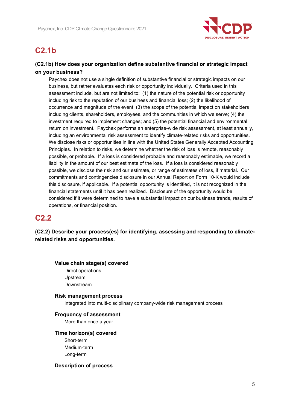

## **C2.1b**

## **(C2.1b) How does your organization define substantive financial or strategic impact on your business?**

Paychex does not use a single definition of substantive financial or strategic impacts on our business, but rather evaluates each risk or opportunity individually. Criteria used in this assessment include, but are not limited to: (1) the nature of the potential risk or opportunity including risk to the reputation of our business and financial loss; (2) the likelihood of occurrence and magnitude of the event; (3) the scope of the potential impact on stakeholders including clients, shareholders, employees, and the communities in which we serve; (4) the investment required to implement changes; and (5) the potential financial and environmental return on investment. Paychex performs an enterprise-wide risk assessment, at least annually, including an environmental risk assessment to identify climate-related risks and opportunities. We disclose risks or opportunities in line with the United States Generally Accepted Accounting Principles. In relation to risks, we determine whether the risk of loss is remote, reasonably possible, or probable. If a loss is considered probable and reasonably estimable, we record a liability in the amount of our best estimate of the loss. If a loss is considered reasonably possible, we disclose the risk and our estimate, or range of estimates of loss, if material. Our commitments and contingencies disclosure in our Annual Report on Form 10-K would include this disclosure, if applicable. If a potential opportunity is identified, it is not recognized in the financial statements until it has been realized. Disclosure of the opportunity would be considered if it were determined to have a substantial impact on our business trends, results of operations, or financial position.

## **C2.2**

**(C2.2) Describe your process(es) for identifying, assessing and responding to climaterelated risks and opportunities.** 

## **Value chain stage(s) covered**  Direct operations Upstream

Downstream

### **Risk management process**

Integrated into multi-disciplinary company-wide risk management process

## **Frequency of assessment**

More than once a year

### **Time horizon(s) covered**

Short-term Medium-term Long-term

### **Description of process**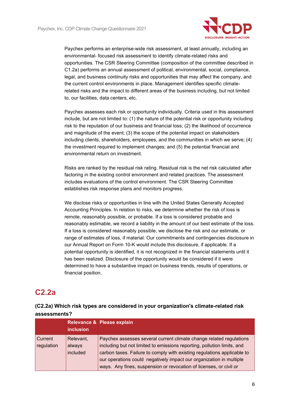

Paychex performs an enterprise-wide risk assessment, at least annually, including an environmental- focused risk assessment to identify climate-related risks and opportunities. The CSR Steering Committee (composition of the committee described in C1.2a) performs an annual assessment of political, environmental, social, compliance, legal, and business continuity risks and opportunities that may affect the company, and the current control environments in place. Management identifies specific climaterelated risks and the impact to different areas of the business including, but not limited to, our facilities, data centers, etc.

Paychex assesses each risk or opportunity individually. Criteria used in this assessment include, but are not limited to: (1) the nature of the potential risk or opportunity including risk to the reputation of our business and financial loss; (2) the likelihood of occurrence and magnitude of the event; (3) the scope of the potential impact on stakeholders including clients, shareholders, employees, and the communities in which we serve; (4) the investment required to implement changes; and (5) the potential financial and environmental return on investment.

Risks are ranked by the residual risk rating. Residual risk is the net risk calculated after factoring in the existing control environment and related practices. The assessment includes evaluations of the control environment. The CSR Steering Committee establishes risk response plans and monitors progress.

We disclose risks or opportunities in line with the United States Generally Accepted Accounting Principles. In relation to risks, we determine whether the risk of loss is remote, reasonably possible, or probable. If a loss is considered probable and reasonably estimable, we record a liability in the amount of our best estimate of the loss. If a loss is considered reasonably possible, we disclose the risk and our estimate, or range of estimates of loss, if material. Our commitments and contingencies disclosure in our Annual Report on Form 10-K would include this disclosure, if applicable. If a potential opportunity is identified, it is not recognized in the financial statements until it has been realized. Disclosure of the opportunity would be considered if it were determined to have a substantive impact on business trends, results of operations, or financial position.

## **C2.2a**

## **(C2.2a) Which risk types are considered in your organization's climate-related risk assessments?**

|                         | <b>inclusion</b>                | Relevance & Please explain                                                                                                                                                                                                                                                                                                                                             |
|-------------------------|---------------------------------|------------------------------------------------------------------------------------------------------------------------------------------------------------------------------------------------------------------------------------------------------------------------------------------------------------------------------------------------------------------------|
| l Current<br>regulation | Relevant,<br>always<br>included | Paychex assesses several current climate change related regulations<br>including but not limited to emissions reporting, pollution limits, and<br>carbon taxes. Failure to comply with existing regulations applicable to<br>our operations could negatively impact our organization in multiple<br>ways. Any fines, suspension or revocation of licenses, or civil or |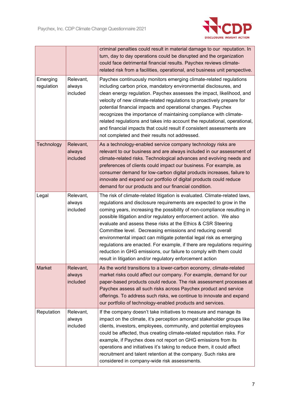

|                        |                                 | criminal penalties could result in material damage to our reputation. In<br>turn, day to day operations could be disrupted and the organization<br>could face detrimental financial results. Paychex reviews climate-<br>related risk from a facilities, operational, and business unit perspective.                                                                                                                                                                                                                                                                                                                                                                                                                |
|------------------------|---------------------------------|---------------------------------------------------------------------------------------------------------------------------------------------------------------------------------------------------------------------------------------------------------------------------------------------------------------------------------------------------------------------------------------------------------------------------------------------------------------------------------------------------------------------------------------------------------------------------------------------------------------------------------------------------------------------------------------------------------------------|
| Emerging<br>regulation | Relevant,<br>always<br>included | Paychex continuously monitors emerging climate-related regulations<br>including carbon price, mandatory environmental disclosures, and<br>clean energy regulation. Paychex assesses the impact, likelihood, and<br>velocity of new climate-related regulations to proactively prepare for<br>potential financial impacts and operational changes. Paychex<br>recognizes the importance of maintaining compliance with climate-<br>related regulations and takes into account the reputational, operational,<br>and financial impacts that could result if consistent assessments are<br>not completed and their results not addressed.                                                                              |
| Technology             | Relevant,<br>always<br>included | As a technology-enabled service company technology risks are<br>relevant to our business and are always included in our assessment of<br>climate-related risks. Technological advances and evolving needs and<br>preferences of clients could impact our business. For example, as<br>consumer demand for low-carbon digital products increases, failure to<br>innovate and expand our portfolio of digital products could reduce<br>demand for our products and our financial condition.                                                                                                                                                                                                                           |
| Legal                  | Relevant,<br>always<br>included | The risk of climate-related litigation is evaluated. Climate-related laws,<br>regulations and disclosure requirements are expected to grow in the<br>coming years, increasing the possibility of non-compliance resulting in<br>possible litigation and/or regulatory enforcement action. We also<br>evaluate and assess these risks at the Ethics & CSR Steering<br>Committee level. Decreasing emissions and reducing overall<br>environmental impact can mitigate potential legal risk as emerging<br>regulations are enacted. For example, if there are regulations requiring<br>reduction in GHG emissions, our failure to comply with them could<br>result in litigation and/or regulatory enforcement action |
| Market                 | Relevant,<br>always<br>included | As the world transitions to a lower-carbon economy, climate-related<br>market risks could affect our company. For example, demand for our<br>paper-based products could reduce. The risk assessment processes at<br>Paychex assess all such risks across Paychex product and service<br>offerings. To address such risks, we continue to innovate and expand<br>our portfolio of technology-enabled products and services.                                                                                                                                                                                                                                                                                          |
| Reputation             | Relevant,<br>always<br>included | If the company doesn't take initiatives to measure and manage its<br>impact on the climate, it's perception amongst stakeholder groups like<br>clients, investors, employees, community, and potential employees<br>could be affected, thus creating climate-related reputation risks. For<br>example, if Paychex does not report on GHG emissions from its<br>operations and initiatives it's taking to reduce them, it could affect<br>recruitment and talent retention at the company. Such risks are<br>considered in company-wide risk assessments.                                                                                                                                                            |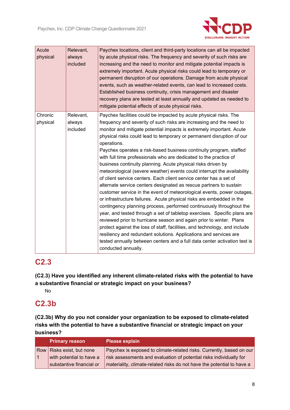

| Acute<br>physical | Relevant,<br>always<br>included | Paychex locations, client and third-party locations can all be impacted<br>by acute physical risks. The frequency and severity of such risks are<br>increasing and the need to monitor and mitigate potential impacts is<br>extremely important. Acute physical risks could lead to temporary or<br>permanent disruption of our operations. Damage from acute physical<br>events, such as weather-related events, can lead to increased costs.<br>Established business continuity, crisis management and disaster<br>recovery plans are tested at least annually and updated as needed to<br>mitigate potential effects of acute physical risks. |
|-------------------|---------------------------------|--------------------------------------------------------------------------------------------------------------------------------------------------------------------------------------------------------------------------------------------------------------------------------------------------------------------------------------------------------------------------------------------------------------------------------------------------------------------------------------------------------------------------------------------------------------------------------------------------------------------------------------------------|
| Chronic           | Relevant,                       | Paychex facilities could be impacted by acute physical risks. The                                                                                                                                                                                                                                                                                                                                                                                                                                                                                                                                                                                |
| physical          | always                          | frequency and severity of such risks are increasing and the need to                                                                                                                                                                                                                                                                                                                                                                                                                                                                                                                                                                              |
|                   | included                        | monitor and mitigate potential impacts is extremely important. Acute                                                                                                                                                                                                                                                                                                                                                                                                                                                                                                                                                                             |
|                   |                                 | physical risks could lead to temporary or permanent disruption of our<br>operations.                                                                                                                                                                                                                                                                                                                                                                                                                                                                                                                                                             |
|                   |                                 | Paychex operates a risk-based business continuity program, staffed                                                                                                                                                                                                                                                                                                                                                                                                                                                                                                                                                                               |
|                   |                                 | with full time professionals who are dedicated to the practice of                                                                                                                                                                                                                                                                                                                                                                                                                                                                                                                                                                                |
|                   |                                 | business continuity planning. Acute physical risks driven by                                                                                                                                                                                                                                                                                                                                                                                                                                                                                                                                                                                     |
|                   |                                 | meteorological (severe weather) events could interrupt the availability                                                                                                                                                                                                                                                                                                                                                                                                                                                                                                                                                                          |
|                   |                                 | of client service centers. Each client service center has a set of                                                                                                                                                                                                                                                                                                                                                                                                                                                                                                                                                                               |
|                   |                                 | alternate service centers designated as rescue partners to sustain                                                                                                                                                                                                                                                                                                                                                                                                                                                                                                                                                                               |
|                   |                                 | customer service in the event of meteorological events, power outages,<br>or infrastructure failures. Acute physical risks are embedded in the                                                                                                                                                                                                                                                                                                                                                                                                                                                                                                   |
|                   |                                 | contingency planning process, performed continuously throughout the                                                                                                                                                                                                                                                                                                                                                                                                                                                                                                                                                                              |
|                   |                                 | year, and tested through a set of tabletop exercises. Specific plans are                                                                                                                                                                                                                                                                                                                                                                                                                                                                                                                                                                         |
|                   |                                 | reviewed prior to hurricane season and again prior to winter. Plans                                                                                                                                                                                                                                                                                                                                                                                                                                                                                                                                                                              |
|                   |                                 | protect against the loss of staff, facilities, and technology, and include                                                                                                                                                                                                                                                                                                                                                                                                                                                                                                                                                                       |
|                   |                                 | resiliency and redundant solutions. Applications and services are                                                                                                                                                                                                                                                                                                                                                                                                                                                                                                                                                                                |
|                   |                                 | tested annually between centers and a full data center activation test is                                                                                                                                                                                                                                                                                                                                                                                                                                                                                                                                                                        |
|                   |                                 | conducted annually.                                                                                                                                                                                                                                                                                                                                                                                                                                                                                                                                                                                                                              |

## **C2.3**

**(C2.3) Have you identified any inherent climate-related risks with the potential to have a substantive financial or strategic impact on your business?** 

No

## **C2.3b**

**(C2.3b) Why do you not consider your organization to be exposed to climate-related risks with the potential to have a substantive financial or strategic impact on your business?** 

| <b>Primary reason</b>     | <b>Please explain</b>                                                  |
|---------------------------|------------------------------------------------------------------------|
| Row Risks exist, but none | Paychex is exposed to climate-related risks. Currently, based on our   |
| with potential to have a  | risk assessments and evaluation of potential risks individually for    |
| substantive financial or  | materiality, climate-related risks do not have the potential to have a |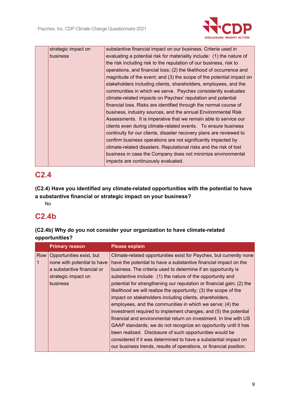

| strategic impact on | substantive financial impact on our business. Criteria used in         |
|---------------------|------------------------------------------------------------------------|
| <b>business</b>     | evaluating a potential risk for materiality include: (1) the nature of |
|                     | the risk including risk to the reputation of our business, risk to     |
|                     | operations, and financial loss; (2) the likelihood of occurrence and   |
|                     | magnitude of the event; and (3) the scope of the potential impact on   |
|                     | stakeholders including clients, shareholders, employees, and the       |
|                     | communities in which we serve. Paychex consistently evaluates          |
|                     | climate-related impacts on Paychex' reputation and potential           |
|                     | financial loss. Risks are identified through the normal course of      |
|                     | business, industry sources, and the annual Environmental Risk          |
|                     | Assessments. It is imperative that we remain able to service our       |
|                     | clients even during climate-related events. To ensure business         |
|                     | continuity for our clients, disaster recovery plans are reviewed to    |
|                     | confirm business operations are not significantly impacted by          |
|                     | climate-related disasters. Reputational risks and the risk of lost     |
|                     | business in case the Company does not minimize environmental           |
|                     | impacts are continuously evaluated.                                    |
|                     |                                                                        |

## **C2.4**

**(C2.4) Have you identified any climate-related opportunities with the potential to have a substantive financial or strategic impact on your business?** 

No

## **C2.4b**

| (C2.4b) Why do you not consider your organization to have climate-related |  |
|---------------------------------------------------------------------------|--|
| opportunities?                                                            |  |
|                                                                           |  |

|     | <b>Primary reason</b>       | <b>Please explain</b>                                                 |
|-----|-----------------------------|-----------------------------------------------------------------------|
| Row | Opportunities exist, but    | Climate-related opportunities exist for Paychex, but currently none   |
| 1   | none with potential to have | have the potential to have a substantive financial impact on the      |
|     | a substantive financial or  | business. The criteria used to determine if an opportunity is         |
|     | strategic impact on         | substantive include: (1) the nature of the opportunity and            |
|     | <b>business</b>             | potential for strengthening our reputation or financial gain; (2) the |
|     |                             | likelihood we will realize the opportunity; (3) the scope of the      |
|     |                             | impact on stakeholders including clients, shareholders,               |
|     |                             | employees, and the communities in which we serve; (4) the             |
|     |                             | investment required to implement changes; and (5) the potential       |
|     |                             | financial and environmental return on investment. In line with US     |
|     |                             | GAAP standards, we do not recognize an opportunity until it has       |
|     |                             | been realized. Disclosure of such opportunities would be              |
|     |                             | considered if it was determined to have a substantial impact on       |
|     |                             | our business trends, results of operations, or financial position.    |
|     |                             |                                                                       |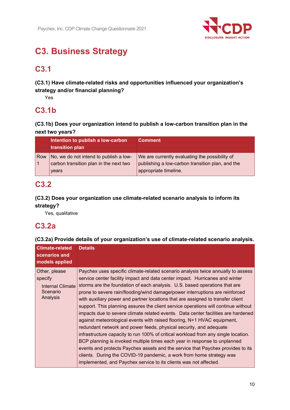

# **C3. Business Strategy**

## **C3.1**

**(C3.1) Have climate-related risks and opportunities influenced your organization's strategy and/or financial planning?** 

Yes

## **C3.1b**

**(C3.1b) Does your organization intend to publish a low-carbon transition plan in the next two years?** 

|     | Intention to publish a low-carbon<br>transition plan                                      | <b>Comment</b>                                                                                                              |
|-----|-------------------------------------------------------------------------------------------|-----------------------------------------------------------------------------------------------------------------------------|
| Row | No, we do not intend to publish a low-<br>carbon transition plan in the next two<br>years | We are currently evaluating the possibility of<br>publishing a low-carbon transition plan, and the<br>appropriate timeline. |

## **C3.2**

## **(C3.2) Does your organization use climate-related scenario analysis to inform its strategy?**

Yes, qualitative

## **C3.2a**

## **(C3.2a) Provide details of your organization's use of climate-related scenario analysis.**

| <b>Climate-related</b>                                               | <b>Details</b>                                                                                                                                                                                                                                                                                                                                                                                                                                                                                                                                                                                                                                                                                                                                                                                                                                                                                                                                                                                                                                                              |
|----------------------------------------------------------------------|-----------------------------------------------------------------------------------------------------------------------------------------------------------------------------------------------------------------------------------------------------------------------------------------------------------------------------------------------------------------------------------------------------------------------------------------------------------------------------------------------------------------------------------------------------------------------------------------------------------------------------------------------------------------------------------------------------------------------------------------------------------------------------------------------------------------------------------------------------------------------------------------------------------------------------------------------------------------------------------------------------------------------------------------------------------------------------|
| scenarios and<br>models applied                                      |                                                                                                                                                                                                                                                                                                                                                                                                                                                                                                                                                                                                                                                                                                                                                                                                                                                                                                                                                                                                                                                                             |
|                                                                      |                                                                                                                                                                                                                                                                                                                                                                                                                                                                                                                                                                                                                                                                                                                                                                                                                                                                                                                                                                                                                                                                             |
| Other, please<br>specify<br>Internal Climate<br>Scenario<br>Analysis | Paychex uses specific climate-related scenario analysis twice annually to assess<br>service center facility impact and data center impact. Hurricanes and winter<br>storms are the foundation of each analysis. U.S. based operations that are<br>prone to severe rain/flooding/wind damage/power interruptions are reinforced<br>with auxiliary power and partner locations that are assigned to transfer client<br>support. This planning assures the client service operations will continue without<br>impacts due to severe climate related events. Data center facilities are hardened<br>against meteorological events with raised flooring, N+1 HVAC equipment,<br>redundant network and power feeds, physical security, and adequate<br>infrastructure capacity to run 100% of critical workload from any single location.<br>BCP planning is invoked multiple times each year in response to unplanned<br>events and protects Paychex assets and the service that Paychex provides to its<br>clients. During the COVID-19 pandemic, a work from home strategy was |
|                                                                      | implemented, and Paychex service to its clients was not affected.                                                                                                                                                                                                                                                                                                                                                                                                                                                                                                                                                                                                                                                                                                                                                                                                                                                                                                                                                                                                           |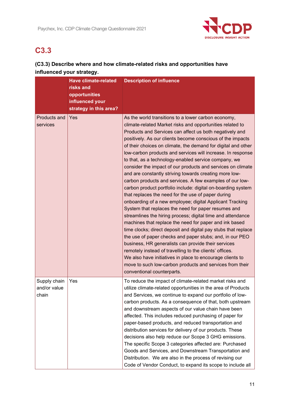

## **C3.3**

## **(C3.3) Describe where and how climate-related risks and opportunities have influenced your strategy.**

|                                       | <b>Have climate-related</b><br>risks and<br>opportunities<br>influenced your<br>strategy in this area? | <b>Description of influence</b>                                                                                                                                                                                                                                                                                                                                                                                                                                                                                                                                                                                                                                                                                                                                                                                                                                                                                                                                                                                                                                                                                                                                                                                                                                                                                                                                                                 |
|---------------------------------------|--------------------------------------------------------------------------------------------------------|-------------------------------------------------------------------------------------------------------------------------------------------------------------------------------------------------------------------------------------------------------------------------------------------------------------------------------------------------------------------------------------------------------------------------------------------------------------------------------------------------------------------------------------------------------------------------------------------------------------------------------------------------------------------------------------------------------------------------------------------------------------------------------------------------------------------------------------------------------------------------------------------------------------------------------------------------------------------------------------------------------------------------------------------------------------------------------------------------------------------------------------------------------------------------------------------------------------------------------------------------------------------------------------------------------------------------------------------------------------------------------------------------|
| Products and<br>services              | Yes                                                                                                    | As the world transitions to a lower carbon economy,<br>climate-related Market risks and opportunities related to<br>Products and Services can affect us both negatively and<br>positively. As our clients become conscious of the impacts<br>of their choices on climate, the demand for digital and other<br>low-carbon products and services will increase. In response<br>to that, as a technology-enabled service company, we<br>consider the impact of our products and services on climate<br>and are constantly striving towards creating more low-<br>carbon products and services. A few examples of our low-<br>carbon product portfolio include: digital on-boarding system<br>that replaces the need for the use of paper during<br>onboarding of a new employee; digital Applicant Tracking<br>System that replaces the need for paper resumes and<br>streamlines the hiring process; digital time and attendance<br>machines that replace the need for paper and ink based<br>time clocks; direct deposit and digital pay stubs that replace<br>the use of paper checks and paper stubs; and, in our PEO<br>business, HR generalists can provide their services<br>remotely instead of travelling to the clients' offices.<br>We also have initiatives in place to encourage clients to<br>move to such low-carbon products and services from their<br>conventional counterparts. |
| Supply chain<br>and/or value<br>chain | Yes                                                                                                    | To reduce the impact of climate-related market risks and<br>utilize climate-related opportunities in the area of Products<br>and Services, we continue to expand our portfolio of low-<br>carbon products. As a consequence of that, both upstream<br>and downstream aspects of our value chain have been<br>affected. This includes reduced purchasing of paper for<br>paper-based products, and reduced transportation and<br>distribution services for delivery of our products. These<br>decisions also help reduce our Scope 3 GHG emissions.<br>The specific Scope 3 categories affected are: Purchased<br>Goods and Services, and Downstream Transportation and<br>Distribution. We are also in the process of revising our<br>Code of Vendor Conduct, to expand its scope to include all                                                                                                                                                                                                                                                                                                                                                                                                                                                                                                                                                                                                |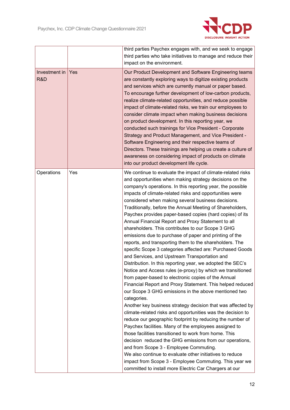

|                      |     | third parties Paychex engages with, and we seek to engage                                                                                                                                                                                                                                                                                                                                                                                                                                                                                                                                                                                                                                                                                                                                                                                                                                                                                                                                                                                                                                                                                                                                                                                                                                                                                                                                                                                                                                                                                                                                                                                                                                             |
|----------------------|-----|-------------------------------------------------------------------------------------------------------------------------------------------------------------------------------------------------------------------------------------------------------------------------------------------------------------------------------------------------------------------------------------------------------------------------------------------------------------------------------------------------------------------------------------------------------------------------------------------------------------------------------------------------------------------------------------------------------------------------------------------------------------------------------------------------------------------------------------------------------------------------------------------------------------------------------------------------------------------------------------------------------------------------------------------------------------------------------------------------------------------------------------------------------------------------------------------------------------------------------------------------------------------------------------------------------------------------------------------------------------------------------------------------------------------------------------------------------------------------------------------------------------------------------------------------------------------------------------------------------------------------------------------------------------------------------------------------------|
|                      |     | third parties who take initiatives to manage and reduce their                                                                                                                                                                                                                                                                                                                                                                                                                                                                                                                                                                                                                                                                                                                                                                                                                                                                                                                                                                                                                                                                                                                                                                                                                                                                                                                                                                                                                                                                                                                                                                                                                                         |
|                      |     | impact on the environment.                                                                                                                                                                                                                                                                                                                                                                                                                                                                                                                                                                                                                                                                                                                                                                                                                                                                                                                                                                                                                                                                                                                                                                                                                                                                                                                                                                                                                                                                                                                                                                                                                                                                            |
| Investment in<br>R&D | Yes | Our Product Development and Software Engineering teams<br>are constantly exploring ways to digitize existing products<br>and services which are currently manual or paper based.<br>To encourage further development of low-carbon products,<br>realize climate-related opportunities, and reduce possible<br>impact of climate-related risks, we train our employees to<br>consider climate impact when making business decisions<br>on product development. In this reporting year, we<br>conducted such trainings for Vice President - Corporate<br>Strategy and Product Management, and Vice President -<br>Software Engineering and their respective teams of<br>Directors. These trainings are helping us create a culture of<br>awareness on considering impact of products on climate<br>into our product development life cycle.                                                                                                                                                                                                                                                                                                                                                                                                                                                                                                                                                                                                                                                                                                                                                                                                                                                             |
| Operations           | Yes | We continue to evaluate the impact of climate-related risks<br>and opportunities when making strategy decisions on the<br>company's operations. In this reporting year, the possible<br>impacts of climate-related risks and opportunities were<br>considered when making several business decisions.<br>Traditionally, before the Annual Meeting of Shareholders,<br>Paychex provides paper-based copies (hard copies) of its<br>Annual Financial Report and Proxy Statement to all<br>shareholders. This contributes to our Scope 3 GHG<br>emissions due to purchase of paper and printing of the<br>reports, and transporting them to the shareholders. The<br>specific Scope 3 categories affected are: Purchased Goods<br>and Services, and Upstream Transportation and<br>Distribution. In this reporting year, we adopted the SEC's<br>Notice and Access rules (e-proxy) by which we transitioned<br>from paper-based to electronic copies of the Annual<br>Financial Report and Proxy Statement. This helped reduced<br>our Scope 3 GHG emissions in the above mentioned two<br>categories.<br>Another key business strategy decision that was affected by<br>climate-related risks and opportunities was the decision to<br>reduce our geographic footprint by reducing the number of<br>Paychex facilities. Many of the employees assigned to<br>those facilities transitioned to work from home. This<br>decision reduced the GHG emissions from our operations,<br>and from Scope 3 - Employee Commuting.<br>We also continue to evaluate other initiatives to reduce<br>impact from Scope 3 - Employee Commuting. This year we<br>committed to install more Electric Car Chargers at our |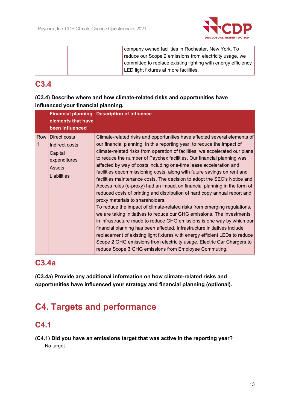

|  | company owned facilities in Rochester, New York. To           |
|--|---------------------------------------------------------------|
|  | reduce our Scope 2 emissions from electricity usage, we       |
|  | committed to replace existing lighting with energy efficiency |
|  | LED light fixtures at more facilities.                        |
|  |                                                               |

## **C3.4**

## **(C3.4) Describe where and how climate-related risks and opportunities have influenced your financial planning.**

|          | elements that have<br>been influenced                                              | <b>Financial planning Description of influence</b>                                                                                                                                                                                                                                                                                                                                                                                                                                                                                                                                                                                                                                                                                                                                                                                                                                                                                                                                                                                                                                                                                                                                                                                                                      |
|----------|------------------------------------------------------------------------------------|-------------------------------------------------------------------------------------------------------------------------------------------------------------------------------------------------------------------------------------------------------------------------------------------------------------------------------------------------------------------------------------------------------------------------------------------------------------------------------------------------------------------------------------------------------------------------------------------------------------------------------------------------------------------------------------------------------------------------------------------------------------------------------------------------------------------------------------------------------------------------------------------------------------------------------------------------------------------------------------------------------------------------------------------------------------------------------------------------------------------------------------------------------------------------------------------------------------------------------------------------------------------------|
| Row<br>1 | Direct costs<br>Indirect costs<br>Capital<br>expenditures<br>Assets<br>Liabilities | Climate-related risks and opportunities have affected several elements of<br>our financial planning. In this reporting year, to reduce the impact of<br>climate-related risks from operation of facilities, we accelerated our plans<br>to reduce the number of Paychex facilities. Our financial planning was<br>affected by way of costs including one-time lease acceleration and<br>facilities decommissioning costs, along with future savings on rent and<br>facilities maintenance costs. The decision to adopt the SEC's Notice and<br>Access rules (e-proxy) had an impact on financial planning in the form of<br>reduced costs of printing and distribution of hard copy annual report and<br>proxy materials to shareholders.<br>To reduce the impact of climate-related risks from emerging regulations,<br>we are taking initiatives to reduce our GHG emissions. The investments<br>in infrastructure made to reduce GHG emissions is one way by which our<br>financial planning has been affected. Infrastructure initiatives include<br>replacement of existing light fixtures with energy efficient LEDs to reduce<br>Scope 2 GHG emissions from electricity usage, Electric Car Chargers to<br>reduce Scope 3 GHG emissions from Employee Commuting. |

## **C3.4a**

**(C3.4a) Provide any additional information on how climate-related risks and opportunities have influenced your strategy and financial planning (optional).** 

# **C4. Targets and performance**

## **C4.1**

**(C4.1) Did you have an emissions target that was active in the reporting year?**  No target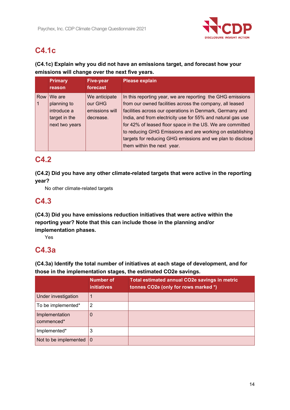

## **C4.1c**

## **(C4.1c) Explain why you did not have an emissions target, and forecast how your emissions will change over the next five years.**

|     | <b>Primary</b> | <b>Five-year</b> | <b>Please explain</b>                                       |
|-----|----------------|------------------|-------------------------------------------------------------|
|     | reason         | forecast         |                                                             |
| Row | We are         | We anticipate    | In this reporting year, we are reporting the GHG emissions  |
|     | planning to    | our GHG          | from our owned facilities across the company, all leased    |
|     | introduce a    | emissions will   | facilities across our operations in Denmark, Germany and    |
|     | target in the  | decrease.        | India, and from electricity use for 55% and natural gas use |
|     | next two years |                  | for 42% of leased floor space in the US. We are committed   |
|     |                |                  | to reducing GHG Emissions and are working on establishing   |
|     |                |                  | targets for reducing GHG emissions and we plan to disclose  |
|     |                |                  | them within the next year.                                  |

## **C4.2**

**(C4.2) Did you have any other climate-related targets that were active in the reporting year?** 

No other climate-related targets

## **C4.3**

**(C4.3) Did you have emissions reduction initiatives that were active within the reporting year? Note that this can include those in the planning and/or implementation phases.** 

Yes

## **C4.3a**

**(C4.3a) Identify the total number of initiatives at each stage of development, and for those in the implementation stages, the estimated CO2e savings.** 

|                              | <b>Number of</b><br><i>initiatives</i> | <b>Total estimated annual CO2e savings in metric</b><br>tonnes CO2e (only for rows marked *) |
|------------------------------|----------------------------------------|----------------------------------------------------------------------------------------------|
| Under investigation          |                                        |                                                                                              |
| To be implemented*           | 2                                      |                                                                                              |
| Implementation<br>commenced* | 0                                      |                                                                                              |
| Implemented*                 | 3                                      |                                                                                              |
| Not to be implemented        | $\overline{0}$                         |                                                                                              |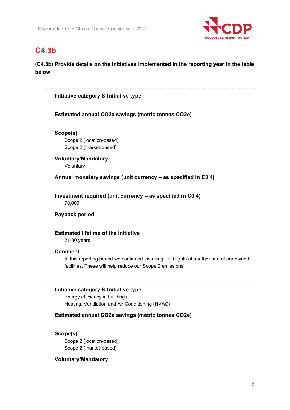

## **C4.3b**

**(C4.3b) Provide details on the initiatives implemented in the reporting year in the table below.** 

**Initiative category & Initiative type** 

**Estimated annual CO2e savings (metric tonnes CO2e)** 

**Scope(s)**  Scope 2 (location-based) Scope 2 (market-based)

**Voluntary/Mandatory**  Voluntary

**Annual monetary savings (unit currency – as specified in C0.4)** 

**Investment required (unit currency – as specified in C0.4)**  70,000

**Payback period** 

### **Estimated lifetime of the initiative**

21-30 years

### **Comment**

In this reporting period we continued installing LED lights at another one of our owned facilities. These will help reduce our Scope 2 emissions.

### **Initiative category & Initiative type**

Energy efficiency in buildings Heating, Ventilation and Air Conditioning (HVAC)

### **Estimated annual CO2e savings (metric tonnes CO2e)**

### **Scope(s)**

Scope 2 (location-based) Scope 2 (market-based)

### **Voluntary/Mandatory**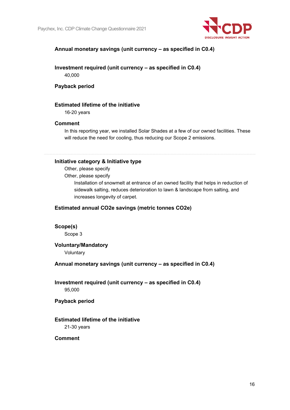

## **Annual monetary savings (unit currency – as specified in C0.4)**

**Investment required (unit currency – as specified in C0.4)**  40,000

### **Payback period**

### **Estimated lifetime of the initiative**

16-20 years

### **Comment**

In this reporting year, we installed Solar Shades at a few of our owned facilities. These will reduce the need for cooling, thus reducing our Scope 2 emissions.

#### **Initiative category & Initiative type**

Other, please specify

Other, please specify

Installation of snowmelt at entrance of an owned facility that helps in reduction of sidewalk salting, reduces deterioration to lawn & landscape from salting, and increases longevity of carpet.

### **Estimated annual CO2e savings (metric tonnes CO2e)**

### **Scope(s)**

Scope 3

### **Voluntary/Mandatory**

Voluntary

### **Annual monetary savings (unit currency – as specified in C0.4)**

## **Investment required (unit currency – as specified in C0.4)**

95,000

### **Payback period**

### **Estimated lifetime of the initiative**

21-30 years

### **Comment**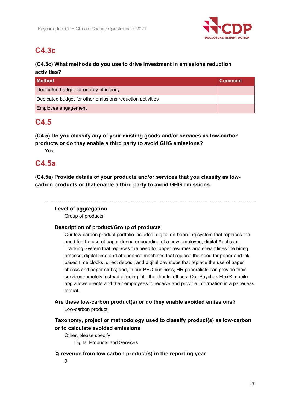

## **C4.3c**

## **(C4.3c) What methods do you use to drive investment in emissions reduction activities?**

| l Method                                                  | <b>Comment</b> |
|-----------------------------------------------------------|----------------|
| Dedicated budget for energy efficiency                    |                |
| Dedicated budget for other emissions reduction activities |                |
| Employee engagement                                       |                |

## **C4.5**

**(C4.5) Do you classify any of your existing goods and/or services as low-carbon products or do they enable a third party to avoid GHG emissions?** 

Yes

## **C4.5a**

**(C4.5a) Provide details of your products and/or services that you classify as lowcarbon products or that enable a third party to avoid GHG emissions.** 

## **Level of aggregation**

Group of products

## **Description of product/Group of products**

Our low-carbon product portfolio includes: digital on-boarding system that replaces the need for the use of paper during onboarding of a new employee; digital Applicant Tracking System that replaces the need for paper resumes and streamlines the hiring process; digital time and attendance machines that replace the need for paper and ink based time clocks; direct deposit and digital pay stubs that replace the use of paper checks and paper stubs; and, in our PEO business, HR generalists can provide their services remotely instead of going into the clients' offices. Our Paychex Flex® mobile app allows clients and their employees to receive and provide information in a paperless format.

**Are these low-carbon product(s) or do they enable avoided emissions?** 

Low-carbon product

## **Taxonomy, project or methodology used to classify product(s) as low-carbon or to calculate avoided emissions**

Other, please specify Digital Products and Services

**% revenue from low carbon product(s) in the reporting year** 

 $\Omega$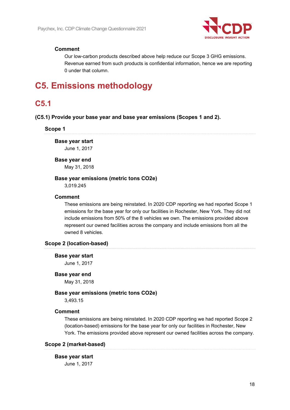

### **Comment**

Our low-carbon products described above help reduce our Scope 3 GHG emissions. Revenue earned from such products is confidential information, hence we are reporting 0 under that column.

## **C5. Emissions methodology**

## **C5.1**

### **(C5.1) Provide your base year and base year emissions (Scopes 1 and 2).**

#### **Scope 1**

**Base year start**  June 1, 2017

#### **Base year end**

May 31, 2018

#### **Base year emissions (metric tons CO2e)**

3,019.245

#### **Comment**

These emissions are being reinstated. In 2020 CDP reporting we had reported Scope 1 emissions for the base year for only our facilities in Rochester, New York. They did not include emissions from 50% of the 8 vehicles we own. The emissions provided above represent our owned facilities across the company and include emissions from all the owned 8 vehicles.

### **Scope 2 (location-based)**

#### **Base year start**

June 1, 2017

#### **Base year end**

May 31, 2018

### **Base year emissions (metric tons CO2e)**

3,493.15

### **Comment**

These emissions are being reinstated. In 2020 CDP reporting we had reported Scope 2 (location-based) emissions for the base year for only our facilities in Rochester, New York. The emissions provided above represent our owned facilities across the company.

### **Scope 2 (market-based)**

#### **Base year start**

June 1, 2017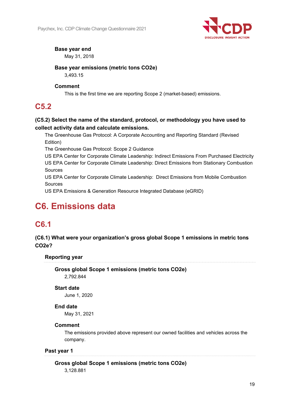

## **Base year end**

May 31, 2018

## **Base year emissions (metric tons CO2e)**

3,493.15

## **Comment**

This is the first time we are reporting Scope 2 (market-based) emissions.

## **C5.2**

## **(C5.2) Select the name of the standard, protocol, or methodology you have used to collect activity data and calculate emissions.**

The Greenhouse Gas Protocol: A Corporate Accounting and Reporting Standard (Revised Edition)

The Greenhouse Gas Protocol: Scope 2 Guidance

US EPA Center for Corporate Climate Leadership: Indirect Emissions From Purchased Electricity US EPA Center for Corporate Climate Leadership: Direct Emissions from Stationary Combustion Sources

US EPA Center for Corporate Climate Leadership: Direct Emissions from Mobile Combustion Sources

US EPA Emissions & Generation Resource Integrated Database (eGRID)

# **C6. Emissions data**

## **C6.1**

## **(C6.1) What were your organization's gross global Scope 1 emissions in metric tons CO2e?**

**Reporting year** 

**Gross global Scope 1 emissions (metric tons CO2e)**  2,792.844

### **Start date**

June 1, 2020

### **End date**

May 31, 2021

### **Comment**

The emissions provided above represent our owned facilities and vehicles across the company.

### **Past year 1**

**Gross global Scope 1 emissions (metric tons CO2e)**  3,128.881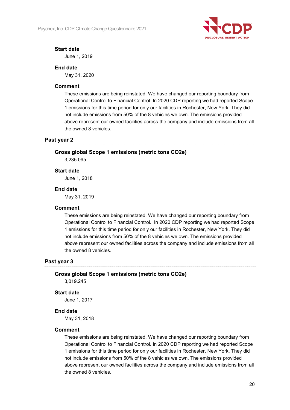

### **Start date**

June 1, 2019

## **End date**

May 31, 2020

### **Comment**

These emissions are being reinstated. We have changed our reporting boundary from Operational Control to Financial Control. In 2020 CDP reporting we had reported Scope 1 emissions for this time period for only our facilities in Rochester, New York. They did not include emissions from 50% of the 8 vehicles we own. The emissions provided above represent our owned facilities across the company and include emissions from all the owned 8 vehicles.

### **Past year 2**

### **Gross global Scope 1 emissions (metric tons CO2e)**

3,235.095

### **Start date**

June 1, 2018

### **End date**

May 31, 2019

### **Comment**

These emissions are being reinstated. We have changed our reporting boundary from Operational Control to Financial Control. In 2020 CDP reporting we had reported Scope 1 emissions for this time period for only our facilities in Rochester, New York. They did not include emissions from 50% of the 8 vehicles we own. The emissions provided above represent our owned facilities across the company and include emissions from all the owned 8 vehicles.

### **Past year 3**

### **Gross global Scope 1 emissions (metric tons CO2e)**

3,019.245

### **Start date**

June 1, 2017

### **End date**

May 31, 2018

### **Comment**

These emissions are being reinstated. We have changed our reporting boundary from Operational Control to Financial Control. In 2020 CDP reporting we had reported Scope 1 emissions for this time period for only our facilities in Rochester, New York. They did not include emissions from 50% of the 8 vehicles we own. The emissions provided above represent our owned facilities across the company and include emissions from all the owned 8 vehicles.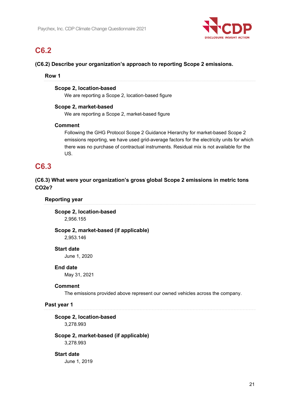

## **C6.2**

### **(C6.2) Describe your organization's approach to reporting Scope 2 emissions.**

### **Row 1**

### **Scope 2, location-based**

We are reporting a Scope 2, location-based figure

### **Scope 2, market-based**

We are reporting a Scope 2, market-based figure

### **Comment**

Following the GHG Protocol Scope 2 Guidance Hierarchy for market-based Scope 2 emissions reporting, we have used grid-average factors for the electricity units for which there was no purchase of contractual instruments. Residual mix is not available for the US.

## **C6.3**

## **(C6.3) What were your organization's gross global Scope 2 emissions in metric tons CO2e?**

### **Reporting year**

**Scope 2, location-based**  2,956.155

**Scope 2, market-based (if applicable)**  2,953.146

### **Start date**

June 1, 2020

### **End date**

May 31, 2021

### **Comment**

The emissions provided above represent our owned vehicles across the company.

### **Past year 1**

### **Scope 2, location-based**

3,278.993

## **Scope 2, market-based (if applicable)**

3,278.993

### **Start date**

June 1, 2019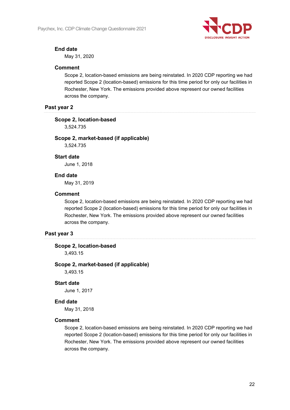

## **End date**

May 31, 2020

### **Comment**

Scope 2, location-based emissions are being reinstated. In 2020 CDP reporting we had reported Scope 2 (location-based) emissions for this time period for only our facilities in Rochester, New York. The emissions provided above represent our owned facilities across the company.

### **Past year 2**

### **Scope 2, location-based**

3,524.735

## **Scope 2, market-based (if applicable)**

3,524.735

### **Start date**

June 1, 2018

### **End date**

May 31, 2019

### **Comment**

Scope 2, location-based emissions are being reinstated. In 2020 CDP reporting we had reported Scope 2 (location-based) emissions for this time period for only our facilities in Rochester, New York. The emissions provided above represent our owned facilities across the company.

### **Past year 3**

### **Scope 2, location-based**

3,493.15

### **Scope 2, market-based (if applicable)**

3,493.15

### **Start date**

June 1, 2017

### **End date**

May 31, 2018

### **Comment**

Scope 2, location-based emissions are being reinstated. In 2020 CDP reporting we had reported Scope 2 (location-based) emissions for this time period for only our facilities in Rochester, New York. The emissions provided above represent our owned facilities across the company.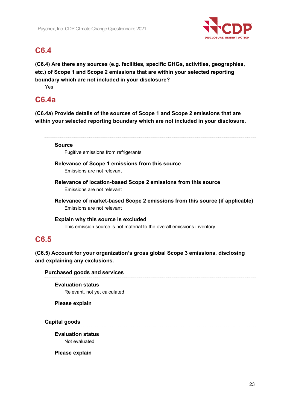

## **C6.4**

**(C6.4) Are there any sources (e.g. facilities, specific GHGs, activities, geographies, etc.) of Scope 1 and Scope 2 emissions that are within your selected reporting boundary which are not included in your disclosure?** 

Yes

## **C6.4a**

**(C6.4a) Provide details of the sources of Scope 1 and Scope 2 emissions that are within your selected reporting boundary which are not included in your disclosure.** 

### **Source**

Fugitive emissions from refrigerants

**Relevance of Scope 1 emissions from this source**  Emissions are not relevant

**Relevance of location-based Scope 2 emissions from this source**  Emissions are not relevant

**Relevance of market-based Scope 2 emissions from this source (if applicable)**  Emissions are not relevant

**Explain why this source is excluded**  This emission source is not material to the overall emissions inventory.

## **C6.5**

**(C6.5) Account for your organization's gross global Scope 3 emissions, disclosing and explaining any exclusions.** 

**Purchased goods and services** 

**Evaluation status**  Relevant, not yet calculated

**Please explain** 

**Capital goods** 

**Evaluation status**  Not evaluated

**Please explain**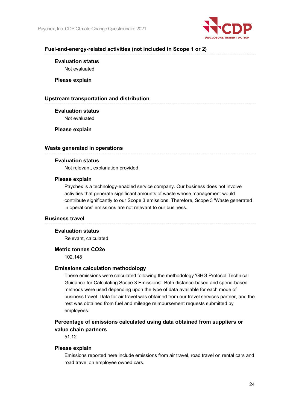

### **Fuel-and-energy-related activities (not included in Scope 1 or 2)**

## **Evaluation status**

Not evaluated

**Please explain** 

### **Upstream transportation and distribution**

**Evaluation status**  Not evaluated

**Please explain** 

### **Waste generated in operations**

### **Evaluation status**

Not relevant, explanation provided

### **Please explain**

Paychex is a technology-enabled service company. Our business does not involve activities that generate significant amounts of waste whose management would contribute significantly to our Scope 3 emissions. Therefore, Scope 3 'Waste generated in operations' emissions are not relevant to our business.

### **Business travel**

### **Evaluation status**

Relevant, calculated

### **Metric tonnes CO2e**

102.148

### **Emissions calculation methodology**

These emissions were calculated following the methodology 'GHG Protocol Technical Guidance for Calculating Scope 3 Emissions'. Both distance-based and spend-based methods were used depending upon the type of data available for each mode of business travel. Data for air travel was obtained from our travel services partner, and the rest was obtained from fuel and mileage reimbursement requests submitted by employees.

## **Percentage of emissions calculated using data obtained from suppliers or value chain partners**

51.12

#### **Please explain**

Emissions reported here include emissions from air travel, road travel on rental cars and road travel on employee owned cars.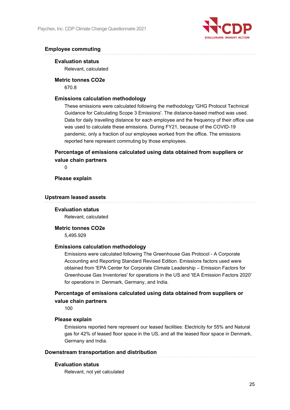

## **Employee commuting**

### **Evaluation status**

Relevant, calculated

**Metric tonnes CO2e**  670.8

### **Emissions calculation methodology**

These emissions were calculated following the methodology 'GHG Protocol Technical Guidance for Calculating Scope 3 Emissions'. The distance-based method was used. Data for daily travelling distance for each employee and the frequency of their office use was used to calculate these emissions. During FY21, because of the COVID-19 pandemic, only a fraction of our employees worked from the office. The emissions reported here represent commuting by those employees.

## **Percentage of emissions calculated using data obtained from suppliers or value chain partners**

 $\Omega$ 

### **Please explain**

#### **Upstream leased assets**

### **Evaluation status**

Relevant, calculated

## **Metric tonnes CO2e**

5,495.929

### **Emissions calculation methodology**

Emissions were calculated following The Greenhouse Gas Protocol - A Corporate Accounting and Reporting Standard Revised Edition. Emissions factors used were obtained from 'EPA Center for Corporate Climate Leadership – Emission Factors for Greenhouse Gas Inventories' for operations in the US and 'IEA Emission Factors 2020' for operations in Denmark, Germany, and India.

## **Percentage of emissions calculated using data obtained from suppliers or value chain partners**

100

### **Please explain**

Emissions reported here represent our leased facilities: Electricity for 55% and Natural gas for 42% of leased floor space in the US, and all the leased floor space in Denmark, Germany and India.

### **Downstream transportation and distribution**

### **Evaluation status**

Relevant, not yet calculated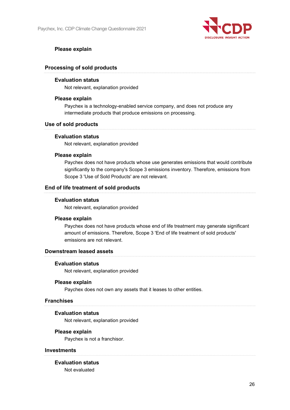

## **Please explain**

### **Processing of sold products**

### **Evaluation status**

Not relevant, explanation provided

### **Please explain**

Paychex is a technology-enabled service company, and does not produce any intermediate products that produce emissions on processing.

### **Use of sold products**

### **Evaluation status**

Not relevant, explanation provided

### **Please explain**

Paychex does not have products whose use generates emissions that would contribute significantly to the company's Scope 3 emissions inventory. Therefore, emissions from Scope 3 'Use of Sold Products' are not relevant.

### **End of life treatment of sold products**

### **Evaluation status**

Not relevant, explanation provided

### **Please explain**

Paychex does not have products whose end of life treatment may generate significant amount of emissions. Therefore, Scope 3 'End of life treatment of sold products' emissions are not relevant.

## **Downstream leased assets**

### **Evaluation status**

Not relevant, explanation provided

### **Please explain**

Paychex does not own any assets that it leases to other entities.

### **Franchises**

### **Evaluation status**

Not relevant, explanation provided

### **Please explain**

Paychex is not a franchisor.

### **Investments**

**Evaluation status**  Not evaluated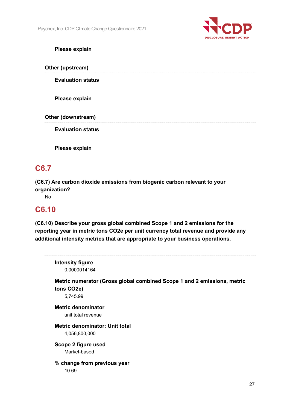

## **Please explain**

**Other (upstream)** 

**Evaluation status** 

**Please explain** 

**Other (downstream)** 

**Evaluation status** 

**Please explain** 

## **C6.7**

**(C6.7) Are carbon dioxide emissions from biogenic carbon relevant to your organization?** 

No

## **C6.10**

**(C6.10) Describe your gross global combined Scope 1 and 2 emissions for the reporting year in metric tons CO2e per unit currency total revenue and provide any additional intensity metrics that are appropriate to your business operations.** 

| <b>Intensity figure</b>        |                                                                         |
|--------------------------------|-------------------------------------------------------------------------|
| 0.0000014164                   |                                                                         |
|                                | Metric numerator (Gross global combined Scope 1 and 2 emissions, metric |
| tons CO <sub>2</sub> e)        |                                                                         |
| 5,745.99                       |                                                                         |
| <b>Metric denominator</b>      |                                                                         |
| unit total revenue             |                                                                         |
| Metric denominator: Unit total |                                                                         |
| 4,056,800,000                  |                                                                         |
| Scope 2 figure used            |                                                                         |
| Market-based                   |                                                                         |
| % change from previous year    |                                                                         |
| 10.69                          |                                                                         |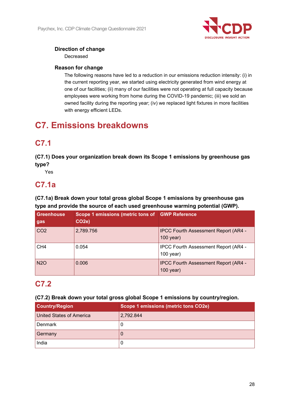

## **Direction of change**

Decreased

## **Reason for change**

The following reasons have led to a reduction in our emissions reduction intensity: (i) in the current reporting year, we started using electricity generated from wind energy at one of our facilities; (ii) many of our facilities were not operating at full capacity because employees were working from home during the COVID-19 pandemic; (iii) we sold an owned facility during the reporting year; (iv) we replaced light fixtures in more facilities with energy efficient LEDs.

# **C7. Emissions breakdowns**

## **C7.1**

**(C7.1) Does your organization break down its Scope 1 emissions by greenhouse gas type?** 

Yes

## **C7.1a**

**(C7.1a) Break down your total gross global Scope 1 emissions by greenhouse gas type and provide the source of each used greenhouse warming potential (GWP).** 

| Greenhouse<br>gas | Scope 1 emissions (metric tons of GWP Reference<br>CO <sub>2e</sub> ) |                                                            |
|-------------------|-----------------------------------------------------------------------|------------------------------------------------------------|
| CO2               | 2,789.756                                                             | <b>IPCC Fourth Assessment Report (AR4 -</b><br>$100$ year) |
| CH4               | 0.054                                                                 | IPCC Fourth Assessment Report (AR4 -<br>$100$ year)        |
| <b>N2O</b>        | 0.006                                                                 | <b>IPCC Fourth Assessment Report (AR4 -</b><br>$100$ year) |

## **C7.2**

**(C7.2) Break down your total gross global Scope 1 emissions by country/region.** 

| <b>Country/Region</b>    | Scope 1 emissions (metric tons CO2e) |
|--------------------------|--------------------------------------|
| United States of America | 2,792.844                            |
| Denmark                  | U                                    |
| Germany                  |                                      |
| India                    | U                                    |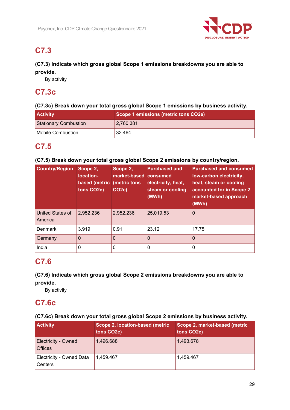

## **C7.3**

## **(C7.3) Indicate which gross global Scope 1 emissions breakdowns you are able to provide.**

By activity

## **C7.3c**

## **(C7.3c) Break down your total gross global Scope 1 emissions by business activity.**

| <b>Activity</b>              | Scope 1 emissions (metric tons CO2e) |
|------------------------------|--------------------------------------|
| <b>Stationary Combustion</b> | 2,760.381                            |
| Mobile Combustion            | 32.464                               |

## **C7.5**

## **(C7.5) Break down your total gross global Scope 2 emissions by country/region.**

| <b>Country/Region</b>       | Scope 2,<br>location-<br>based (metric<br>tons CO2e) | Scope 2,<br>market-based<br>(metric tons<br>CO <sub>2e</sub> ) | <b>Purchased and</b><br>consumed<br>electricity, heat,<br>steam or cooling<br>(MWh) | <b>Purchased and consumed</b><br>low-carbon electricity,<br>heat, steam or cooling<br>accounted for in Scope 2<br>market-based approach<br>(MWh) |
|-----------------------------|------------------------------------------------------|----------------------------------------------------------------|-------------------------------------------------------------------------------------|--------------------------------------------------------------------------------------------------------------------------------------------------|
| United States of<br>America | 2,952.236                                            | 2,952.236                                                      | 25,019.53                                                                           | $\overline{0}$                                                                                                                                   |
| Denmark                     | 3.919                                                | 0.91                                                           | 23.12                                                                               | 17.75                                                                                                                                            |
| Germany                     | 0                                                    | $\Omega$                                                       | 0                                                                                   | $\Omega$                                                                                                                                         |
| India                       | 0                                                    | $\mathbf 0$                                                    | 0                                                                                   | $\Omega$                                                                                                                                         |

## **C7.6**

## **(C7.6) Indicate which gross global Scope 2 emissions breakdowns you are able to provide.**

By activity

## **C7.6c**

## **(C7.6c) Break down your total gross global Scope 2 emissions by business activity.**

| <b>Activity</b>                       | Scope 2, location-based (metric<br>tons CO2e) | Scope 2, market-based (metric<br>tons CO <sub>2</sub> e) |
|---------------------------------------|-----------------------------------------------|----------------------------------------------------------|
| <b>Electricity - Owned</b><br>Offices | 1,496.688                                     | 1,493.678                                                |
| Electricity - Owned Data<br>Centers   | 1.459.467                                     | 1,459.467                                                |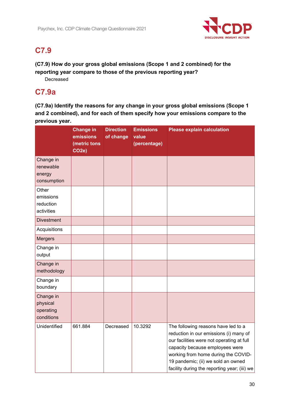

## **C7.9**

**(C7.9) How do your gross global emissions (Scope 1 and 2 combined) for the reporting year compare to those of the previous reporting year?** 

Decreased

## **C7.9a**

**(C7.9a) Identify the reasons for any change in your gross global emissions (Scope 1 and 2 combined), and for each of them specify how your emissions compare to the previous year.** 

|                                                  | <b>Change in</b><br>emissions<br>(metric tons<br>CO <sub>2</sub> e) | <b>Direction</b><br>of change | <b>Emissions</b><br>value<br>(percentage) | <b>Please explain calculation</b>                                                                                                                                                                                                                                                          |
|--------------------------------------------------|---------------------------------------------------------------------|-------------------------------|-------------------------------------------|--------------------------------------------------------------------------------------------------------------------------------------------------------------------------------------------------------------------------------------------------------------------------------------------|
| Change in<br>renewable<br>energy<br>consumption  |                                                                     |                               |                                           |                                                                                                                                                                                                                                                                                            |
| Other<br>emissions<br>reduction<br>activities    |                                                                     |                               |                                           |                                                                                                                                                                                                                                                                                            |
| <b>Divestment</b>                                |                                                                     |                               |                                           |                                                                                                                                                                                                                                                                                            |
| Acquisitions                                     |                                                                     |                               |                                           |                                                                                                                                                                                                                                                                                            |
| <b>Mergers</b>                                   |                                                                     |                               |                                           |                                                                                                                                                                                                                                                                                            |
| Change in<br>output                              |                                                                     |                               |                                           |                                                                                                                                                                                                                                                                                            |
| Change in<br>methodology                         |                                                                     |                               |                                           |                                                                                                                                                                                                                                                                                            |
| Change in<br>boundary                            |                                                                     |                               |                                           |                                                                                                                                                                                                                                                                                            |
| Change in<br>physical<br>operating<br>conditions |                                                                     |                               |                                           |                                                                                                                                                                                                                                                                                            |
| Unidentified                                     | 661.884                                                             | Decreased                     | 10.3292                                   | The following reasons have led to a<br>reduction in our emissions (i) many of<br>our facilities were not operating at full<br>capacity because employees were<br>working from home during the COVID-<br>19 pandemic; (ii) we sold an owned<br>facility during the reporting year; (iii) we |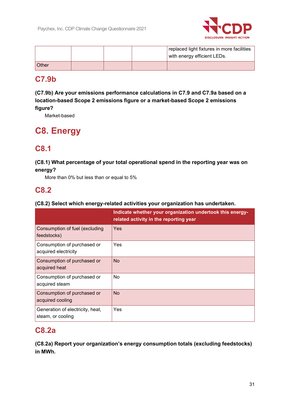

|                 |  | replaced light fixtures in more facilities<br>with energy efficient LEDs. |
|-----------------|--|---------------------------------------------------------------------------|
| $Other^{\circ}$ |  |                                                                           |

## **C7.9b**

**(C7.9b) Are your emissions performance calculations in C7.9 and C7.9a based on a location-based Scope 2 emissions figure or a market-based Scope 2 emissions figure?** 

Market-based

# **C8. Energy**

## **C8.1**

## **(C8.1) What percentage of your total operational spend in the reporting year was on energy?**

More than 0% but less than or equal to 5%

## **C8.2**

## **(C8.2) Select which energy-related activities your organization has undertaken.**

|                                                       | Indicate whether your organization undertook this energy-<br>related activity in the reporting year |
|-------------------------------------------------------|-----------------------------------------------------------------------------------------------------|
| Consumption of fuel (excluding<br>feedstocks)         | Yes                                                                                                 |
| Consumption of purchased or<br>acquired electricity   | Yes                                                                                                 |
| Consumption of purchased or<br>acquired heat          | <b>No</b>                                                                                           |
| Consumption of purchased or<br>acquired steam         | <b>No</b>                                                                                           |
| Consumption of purchased or<br>acquired cooling       | No                                                                                                  |
| Generation of electricity, heat,<br>steam, or cooling | Yes                                                                                                 |

## **C8.2a**

**(C8.2a) Report your organization's energy consumption totals (excluding feedstocks) in MWh.**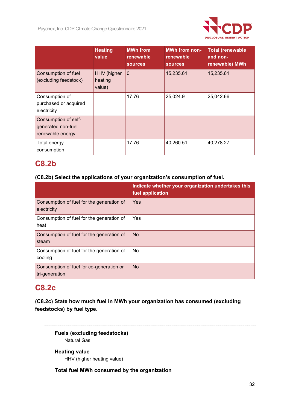

|                                                                | <b>Heating</b><br>value          | <b>MWh from</b><br>renewable<br><b>sources</b> | <b>MWh from non-</b><br>renewable<br><b>sources</b> | <b>Total (renewable</b><br>and non-<br>renewable) MWh |
|----------------------------------------------------------------|----------------------------------|------------------------------------------------|-----------------------------------------------------|-------------------------------------------------------|
| Consumption of fuel<br>(excluding feedstock)                   | HHV (higher<br>heating<br>value) | $\Omega$                                       | 15,235.61                                           | 15,235.61                                             |
| Consumption of<br>purchased or acquired<br>electricity         |                                  | 17.76                                          | 25,024.9                                            | 25,042.66                                             |
| Consumption of self-<br>generated non-fuel<br>renewable energy |                                  |                                                |                                                     |                                                       |
| Total energy<br>consumption                                    |                                  | 17.76                                          | 40,260.51                                           | 40,278.27                                             |

## **C8.2b**

## **(C8.2b) Select the applications of your organization's consumption of fuel.**

|                                                            | Indicate whether your organization undertakes this<br>fuel application |
|------------------------------------------------------------|------------------------------------------------------------------------|
| Consumption of fuel for the generation of<br>electricity   | Yes                                                                    |
| Consumption of fuel for the generation of<br>heat          | <b>Yes</b>                                                             |
| Consumption of fuel for the generation of<br>steam         | <b>No</b>                                                              |
| Consumption of fuel for the generation of<br>cooling       | No                                                                     |
| Consumption of fuel for co-generation or<br>tri-generation | <b>No</b>                                                              |

## **C8.2c**

**(C8.2c) State how much fuel in MWh your organization has consumed (excluding feedstocks) by fuel type.** 

**Fuels (excluding feedstocks)**  Natural Gas

**Heating value** 

HHV (higher heating value)

**Total fuel MWh consumed by the organization**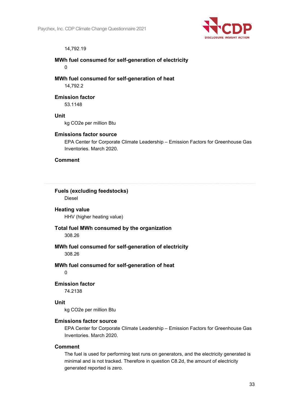

### 14,792.19

### **MWh fuel consumed for self-generation of electricity**

 $\Omega$ 

**MWh fuel consumed for self-generation of heat**  14,792.2

**Emission factor** 

53.1148

### **Unit**

kg CO2e per million Btu

### **Emissions factor source**

EPA Center for Corporate Climate Leadership – Emission Factors for Greenhouse Gas Inventories. March 2020.

### **Comment**

## **Fuels (excluding feedstocks)**

Diesel

### **Heating value**

HHV (higher heating value)

### **Total fuel MWh consumed by the organization**

308.26

## **MWh fuel consumed for self-generation of electricity**

308.26

### **MWh fuel consumed for self-generation of heat**

0

### **Emission factor**

74.2138

### **Unit**

kg CO2e per million Btu

### **Emissions factor source**

EPA Center for Corporate Climate Leadership – Emission Factors for Greenhouse Gas Inventories. March 2020.

### **Comment**

The fuel is used for performing test runs on generators, and the electricity generated is minimal and is not tracked. Therefore in question C8.2d, the amount of electricity generated reported is zero.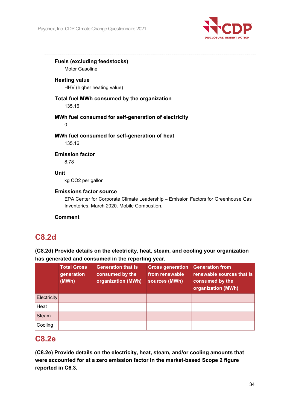

**Fuels (excluding feedstocks)** 

Motor Gasoline

## **Heating value**

HHV (higher heating value)

## **Total fuel MWh consumed by the organization**

135.16

## **MWh fuel consumed for self-generation of electricity**

0

### **MWh fuel consumed for self-generation of heat**

135.16

### **Emission factor**

8.78

## **Unit**

kg CO2 per gallon

### **Emissions factor source**

EPA Center for Corporate Climate Leadership – Emission Factors for Greenhouse Gas Inventories. March 2020. Mobile Combustion.

### **Comment**

## **C8.2d**

## **(C8.2d) Provide details on the electricity, heat, steam, and cooling your organization has generated and consumed in the reporting year.**

|                    | <b>Total Gross</b><br>generation<br>(MWh) | <b>Generation that is</b><br>consumed by the<br>organization (MWh) | <b>Gross generation</b><br>from renewable<br>sources (MWh) | <b>Generation from</b><br>renewable sources that is<br>consumed by the<br>organization (MWh) |
|--------------------|-------------------------------------------|--------------------------------------------------------------------|------------------------------------------------------------|----------------------------------------------------------------------------------------------|
| <b>Electricity</b> |                                           |                                                                    |                                                            |                                                                                              |
| Heat               |                                           |                                                                    |                                                            |                                                                                              |
| <b>Steam</b>       |                                           |                                                                    |                                                            |                                                                                              |
| Cooling            |                                           |                                                                    |                                                            |                                                                                              |

## **C8.2e**

**(C8.2e) Provide details on the electricity, heat, steam, and/or cooling amounts that were accounted for at a zero emission factor in the market-based Scope 2 figure reported in C6.3.**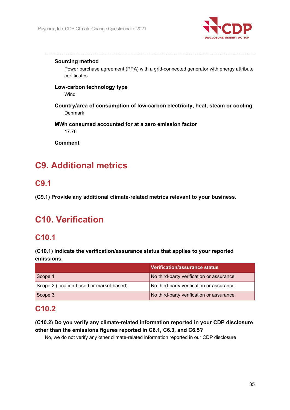

### **Sourcing method**

Power purchase agreement (PPA) with a grid-connected generator with energy attribute certificates

### **Low-carbon technology type**  Wind

**Country/area of consumption of low-carbon electricity, heat, steam or cooling**  Denmark

### **MWh consumed accounted for at a zero emission factor**

17.76

**Comment** 

# **C9. Additional metrics**

## **C9.1**

**(C9.1) Provide any additional climate-related metrics relevant to your business.** 

# **C10. Verification**

## **C10.1**

**(C10.1) Indicate the verification/assurance status that applies to your reported emissions.** 

|                                          | <b>Verification/assurance status</b>     |
|------------------------------------------|------------------------------------------|
| Scope 1                                  | No third-party verification or assurance |
| Scope 2 (location-based or market-based) | No third-party verification or assurance |
| $\vert$ Scope 3                          | No third-party verification or assurance |

## **C10.2**

## **(C10.2) Do you verify any climate-related information reported in your CDP disclosure other than the emissions figures reported in C6.1, C6.3, and C6.5?**

No, we do not verify any other climate-related information reported in our CDP disclosure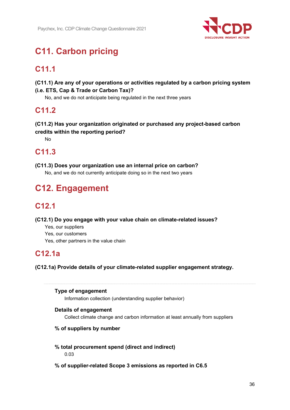

# **C11. Carbon pricing**

# **C11.1**

**(C11.1) Are any of your operations or activities regulated by a carbon pricing system (i.e. ETS, Cap & Trade or Carbon Tax)?** 

No, and we do not anticipate being regulated in the next three years

## **C11.2**

**(C11.2) Has your organization originated or purchased any project-based carbon credits within the reporting period?** 

No

## **C11.3**

**(C11.3) Does your organization use an internal price on carbon?** 

No, and we do not currently anticipate doing so in the next two years

# **C12. Engagement**

# **C12.1**

**(C12.1) Do you engage with your value chain on climate-related issues?** 

- Yes, our suppliers
- Yes, our customers
- Yes, other partners in the value chain

## **C12.1a**

**(C12.1a) Provide details of your climate-related supplier engagement strategy.** 

## **Type of engagement**

Information collection (understanding supplier behavior)

## **Details of engagement**

Collect climate change and carbon information at least annually from suppliers

## **% of suppliers by number**

## **% total procurement spend (direct and indirect)**

0.03

## **% of supplier-related Scope 3 emissions as reported in C6.5**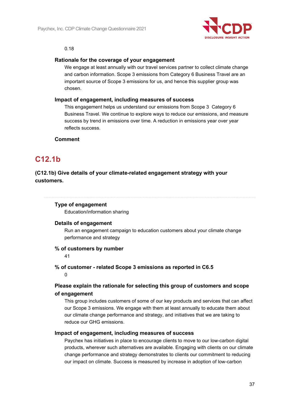

#### 0.18

### **Rationale for the coverage of your engagement**

We engage at least annually with our travel services partner to collect climate change and carbon information. Scope 3 emissions from Category 6 Business Travel are an important source of Scope 3 emissions for us, and hence this supplier group was chosen.

### **Impact of engagement, including measures of success**

This engagement helps us understand our emissions from Scope 3 Category 6 Business Travel. We continue to explore ways to reduce our emissions, and measure success by trend in emissions over time. A reduction in emissions year over year reflects success.

### **Comment**

## **C12.1b**

## **(C12.1b) Give details of your climate-related engagement strategy with your customers.**

### **Type of engagement**

Education/information sharing

### **Details of engagement**

Run an engagement campaign to education customers about your climate change performance and strategy

### **% of customers by number**

41

## **% of customer - related Scope 3 emissions as reported in C6.5**

0

## **Please explain the rationale for selecting this group of customers and scope of engagement**

This group includes customers of some of our key products and services that can affect our Scope 3 emissions. We engage with them at least annually to educate them about our climate change performance and strategy, and initiatives that we are taking to reduce our GHG emissions.

### **Impact of engagement, including measures of success**

Paychex has initiatives in place to encourage clients to move to our low-carbon digital products, wherever such alternatives are available. Engaging with clients on our climate change performance and strategy demonstrates to clients our commitment to reducing our impact on climate. Success is measured by increase in adoption of low-carbon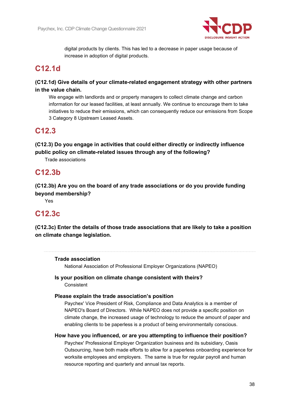

digital products by clients. This has led to a decrease in paper usage because of increase in adoption of digital products.

## **C12.1d**

## **(C12.1d) Give details of your climate-related engagement strategy with other partners in the value chain.**

We engage with landlords and or property managers to collect climate change and carbon information for our leased facilities, at least annually. We continue to encourage them to take initiatives to reduce their emissions, which can consequently reduce our emissions from Scope 3 Category 8 Upstream Leased Assets.

## **C12.3**

**(C12.3) Do you engage in activities that could either directly or indirectly influence public policy on climate-related issues through any of the following?** 

Trade associations

## **C12.3b**

**(C12.3b) Are you on the board of any trade associations or do you provide funding beyond membership?** 

Yes

## **C12.3c**

**(C12.3c) Enter the details of those trade associations that are likely to take a position on climate change legislation.** 

## **Trade association**

National Association of Professional Employer Organizations (NAPEO)

### **Is your position on climate change consistent with theirs?**  Consistent

### **Please explain the trade association's position**

Paychex' Vice President of Risk, Compliance and Data Analytics is a member of NAPEO's Board of Directors. While NAPEO does not provide a specific position on climate change, the increased usage of technology to reduce the amount of paper and enabling clients to be paperless is a product of being environmentally conscious.

### **How have you influenced, or are you attempting to influence their position?**

Paychex' Professional Employer Organization business and its subsidiary, Oasis Outsourcing, have both made efforts to allow for a paperless onboarding experience for worksite employees and employers. The same is true for regular payroll and human resource reporting and quarterly and annual tax reports.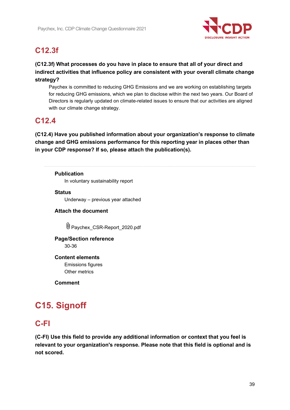

## **C12.3f**

**(C12.3f) What processes do you have in place to ensure that all of your direct and indirect activities that influence policy are consistent with your overall climate change strategy?** 

Paychex is committed to reducing GHG Emissions and we are working on establishing targets for reducing GHG emissions, which we plan to disclose within the next two years. Our Board of Directors is regularly updated on climate-related issues to ensure that our activities are aligned with our climate change strategy.

## **C12.4**

**(C12.4) Have you published information about your organization's response to climate change and GHG emissions performance for this reporting year in places other than in your CDP response? If so, please attach the publication(s).** 

**Publication** 

In voluntary sustainability report

**Status** 

Underway – previous year attached

## **Attach the document**

Paychex\_CSR-Report\_2020.pdf

## **Page/Section reference**

30-36

### **Content elements**

Emissions figures Other metrics

**Comment** 

# **C15. Signoff**

## **C-FI**

**(C-FI) Use this field to provide any additional information or context that you feel is relevant to your organization's response. Please note that this field is optional and is not scored.**